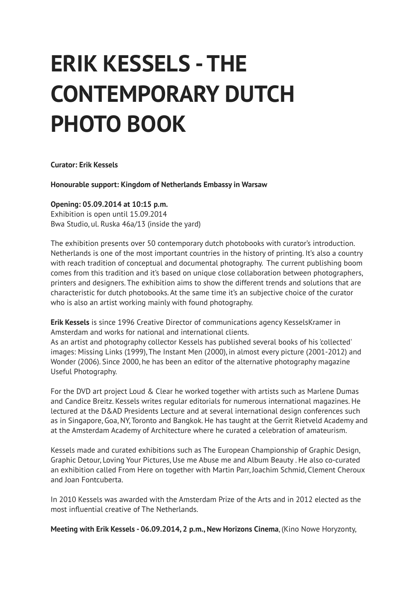## **ERIK KESSELS - THE CONTEMPORARY DUTCH PHOTO BOOK**

**Curator: Erik Kessels**

**Honourable support: Kingdom of Netherlands Embassy in Warsaw**

## **Opening: 05.09.2014 at 10:15 p.m.**

Exhibition is open until 15.09.2014 Bwa Studio, ul. Ruska 46a/13 (inside the yard)

The exhibition presents over 50 contemporary dutch photobooks with curator's introduction. Netherlands is one of the most important countries in the history of printing. It's also a country with reach tradition of conceptual and documental photography. The current publishing boom comes from this tradition and it's based on unique close collaboration between photographers, printers and designers. The exhibition aims to show the different trends and solutions that are characteristic for dutch photobooks. At the same time it's an subjective choice of the curator who is also an artist working mainly with found photography.

**Erik Kessels** is since 1996 Creative Director of communications agency KesselsKramer in Amsterdam and works for national and international clients.

As an artist and photography collector Kessels has published several books of his 'collected' images: Missing Links (1999), The Instant Men (2000), in almost every picture (2001-2012) and Wonder (2006). Since 2000, he has been an editor of the alternative photography magazine Useful Photography.

For the DVD art project Loud & Clear he worked together with artists such as Marlene Dumas and Candice Breitz. Kessels writes regular editorials for numerous international magazines. He lectured at the D&AD Presidents Lecture and at several international design conferences such as in Singapore, Goa, NY, Toronto and Bangkok. He has taught at the Gerrit Rietveld Academy and at the Amsterdam Academy of Architecture where he curated a celebration of amateurism.

Kessels made and curated exhibitions such as The European Championship of Graphic Design, Graphic Detour, Loving Your Pictures, Use me Abuse me and Album Beauty . He also co-curated an exhibition called From Here on together with Martin Parr, Joachim Schmid, Clement Cheroux and Joan Fontcuberta.

In 2010 Kessels was awarded with the Amsterdam Prize of the Arts and in 2012 elected as the most influential creative of The Netherlands.

**Meeting with Erik Kessels - 06.09.2014, 2 p.m., New Horizons Cinema**, (Kino Nowe Horyzonty,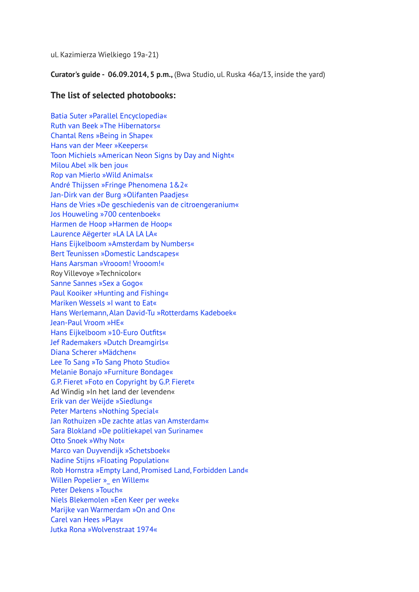ul. Kazimierza Wielkiego 19a-21)

**Curator's guide - 06.09.2014, 5 p.m.,** (Bwa Studio, ul. Ruska 46a/13, inside the yard)

## **The list of selected photobooks:**

[Batia Suter »Parallel Encyclopedia«](http://www.batiasuter.org/) [Ruth van Beek »The Hibernators«](http://www.rvb-books.com/book.php?id_book=25) [Chantal Rens »Being in Shape«](http://www.chantalrens.blogspot.nl/p/carolina-had-weliswaar-geen-aids-maar.html) [Hans van der Meer »Keepers«](http://www.hansvandermeer.nl/books/keepersbook) [Toon Michiels »American Neon Signs by Day and Night«](http://oliverjwood.com/books/american-neon-signs-by-day-night/) [Milou Abel »Ik ben jou«](http://www.milou-abel.com/) [Rop van Mierlo »Wild Animals«](http://ropvanmierlo.nl/) [André Thijssen »Fringe Phenomena 1&2«](http://fringephenomena.com/Fringe_home.html) [Jan-Dirk van der Burg »Olifanten Paadjes«](http://www.olifantenpaadjes.nl/) [Hans de Vries »De geschiedenis van de citroengeranium«](http://www.rencontres-arles.com/C.aspx?VP3=CMS3&VF=ARLAR1_52_VForm&FRM=Frame%3AARLAR1_107&LANGSWI=1&LANG=English) [Jos Houweling »700 centenboek«](http://bintphotobooks.blogspot.com/2013/06/700-centenboek-jos-houweling-erik.html) [Harmen de Hoop »Harmen de Hoop«](http://www.galeriewest.nl/publications/Harmen_de_Hoop/Harmen_de_Hoop) [Laurence Aëgerter »LA LA LA LA«](http://www.laurenceaegerter.com/works.php?title=LA+LA+LA+LA) [Hans Eijkelboom](http://www.photonotebooks.com/) [»](http://www.laurenceaegerter.com/works.php?title=LA+LA+LA+LA)[Amsterdam by Numbers«](http://www.photonotebooks.com/) [Bert Teunissen »Domestic Landscapes«](http://www.bertteunissen.com/) [Hans Aarsman »Vrooom! Vrooom!«](http://www.naipublishers.nl/art/vrrooom_e.html) Roy Villevoye »Technicolor« [Sanne Sannes »Sex a Gogo«](http://www.tiffcollective.pl/admin/inside_festival/insidefestival/32/om/2008/07/dutch-books-of-nudes-alessandro.html) [Paul Kooiker »Hunting and Fishing«](http://www.paulkooiker.com/index.php?section=&page=3) [Mariken Wessels »I want to Eat«](http://www.marikenwessels.com/control/PagesHandler.php?page_id=10&entry_id=14) [Hans Werlemann, Alan David-Tu »Rotterdams Kadeboek«](http://bintphotobooks.blogspot.com/2012/07/hans-werlemann-rotterdams-kadeboek.html) [Jean-Paul Vroom »HE«](http://josefchladek.com/book/jean-paul_vroom_-_he_-_visual_information_about_a_human_being) [Hans Eijkelboom »10-Euro Outfits«](http://www.photonotebooks.com/) [Jef Rademakers »Dutch Dreamgirls«](http://bintphotobooks.blogspot.com/2013/01/dutch-dreamgirls-sex-jef-rademakers.html) [Diana Scherer »Mädchen«](http://dianascherer.nl/category/books/) [Lee To Sang »To Sang Photo Studio«](http://www.vanzoetendaal.com/books/to-sang-fotostudio/) [Melanie Bonajo »Furniture Bondage«](http://www.mottodistribution.com/shop/publishers/kodoji-press/furniture-bondage.html) [G.P. Fieret »Foto en Copyright by G.P. Fieret«](http://www.mottodistribution.com/shop/publishers/kodoji-press/furniture-bondage.html) Ad Windig »In het land der levenden« [Erik van der Weijde »Siedlung«](http://4478zine.com/2010book_siedlung.htm) [Peter Martens »Nothing Special«](http://bintphotobooks.blogspot.com/2013/01/in-case-of-homicide-call-peter-martens.html) [Jan Rothuizen »De zachte atlas van Amsterdam«](http://www.janrothuizen.nl/index.php?/projects/amsterdam-the-soft-atlas/) [Sara Blokland »De politiekapel van Suriname«](http://sarablokland.com/the-policeband-of-suriname/) [Otto Snoek »Why Not«](http://www.ottosnoek.com/) [Marco van Duyvendijk »Schetsboek«](http://www.ottosnoek.com/) [Nadine Stijns »Floating Population«](http://www.floatingpopulation.com/) [Rob Hornstra »Empty Land, Promised Land, Forbidden Land«](https://www.thesochiproject.org/shop/product/57/) [Willen Popelier »\\_ en Willem«](http://www.willempopelier.nl/andwillem.html) [Peter Dekens »Touch«](http://www.peterdekens.com/#/projects/touch) [Niels Blekemolen »Een Keer per week«](http://nielsblekemolen.nl/vrij-werk/een-keer-per-week/) [Marijke van Warmerdam »On and On«](http://bintphotobooks.blogspot.com/2013/07/on-and-on-marijke-van-warmerdam-artists.html) [Carel van Hees »Play«](http://bintphotobooks.blogspot.com/2013/07/on-and-on-marijke-van-warmerdam-artists.html) [Jutka Rona »Wolvenstraat 1974«](http://www.jutkarona.com/)